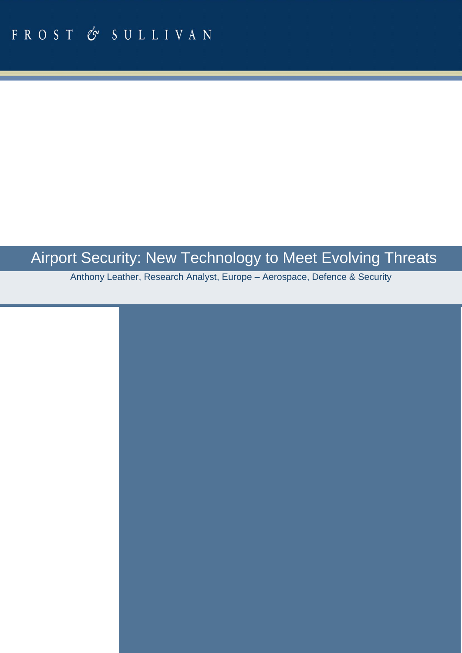# Airport Security: New Technology to Meet Evolving Threats

Anthony Leather, Research Analyst, Europe – Aerospace, Defence & Security

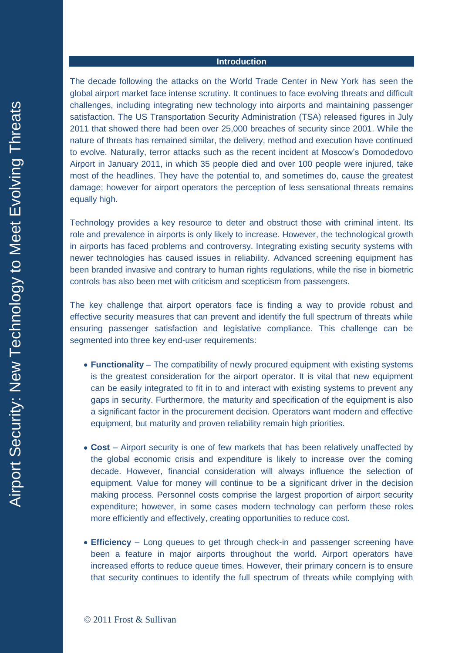## **Introduction**

The decade following the attacks on the World Trade Center in New York has seen the global airport market face intense scrutiny. It continues to face evolving threats and difficult challenges, including integrating new technology into airports and maintaining passenger satisfaction. The US Transportation Security Administration (TSA) released figures in July 2011 that showed there had been over 25,000 breaches of security since 2001. While the nature of threats has remained similar, the delivery, method and execution have continued to evolve. Naturally, terror attacks such as the recent incident at Moscow's Domodedovo Airport in January 2011, in which 35 people died and over 100 people were injured, take most of the headlines. They have the potential to, and sometimes do, cause the greatest damage; however for airport operators the perception of less sensational threats remains equally high.

Technology provides a key resource to deter and obstruct those with criminal intent. Its role and prevalence in airports is only likely to increase. However, the technological growth in airports has faced problems and controversy. Integrating existing security systems with newer technologies has caused issues in reliability. Advanced screening equipment has been branded invasive and contrary to human rights regulations, while the rise in biometric controls has also been met with criticism and scepticism from passengers.

The key challenge that airport operators face is finding a way to provide robust and effective security measures that can prevent and identify the full spectrum of threats while ensuring passenger satisfaction and legislative compliance. This challenge can be segmented into three key end-user requirements:

- **Functionality** The compatibility of newly procured equipment with existing systems is the greatest consideration for the airport operator. It is vital that new equipment can be easily integrated to fit in to and interact with existing systems to prevent any gaps in security. Furthermore, the maturity and specification of the equipment is also a significant factor in the procurement decision. Operators want modern and effective equipment, but maturity and proven reliability remain high priorities.
- **Cost** Airport security is one of few markets that has been relatively unaffected by the global economic crisis and expenditure is likely to increase over the coming decade. However, financial consideration will always influence the selection of equipment. Value for money will continue to be a significant driver in the decision making process. Personnel costs comprise the largest proportion of airport security expenditure; however, in some cases modern technology can perform these roles more efficiently and effectively, creating opportunities to reduce cost.
- **Efficiency**  Long queues to get through check-in and passenger screening have been a feature in major airports throughout the world. Airport operators have increased efforts to reduce queue times. However, their primary concern is to ensure that security continues to identify the full spectrum of threats while complying with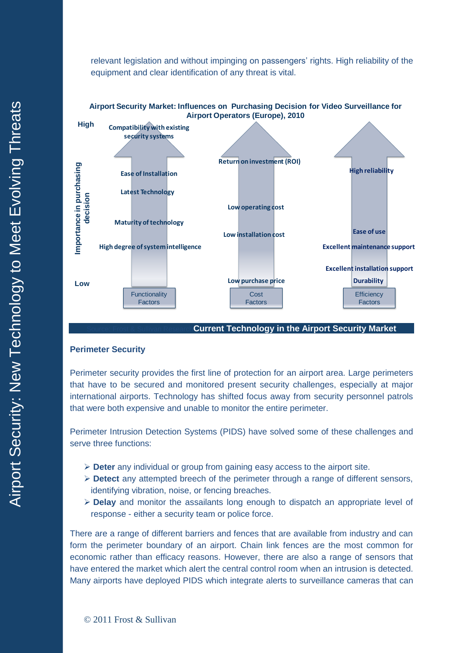relevant legislation and without impinging on passengers' rights. High reliability of the equipment and clear identification of any threat is vital.





## **Current Technology in the Airport Security Market**

#### **Perimeter Security**

Perimeter security provides the first line of protection for an airport area. Large perimeters that have to be secured and monitored present security challenges, especially at major international airports. Technology has shifted focus away from security personnel patrols that were both expensive and unable to monitor the entire perimeter.

Perimeter Intrusion Detection Systems (PIDS) have solved some of these challenges and serve three functions:

- **Deter** any individual or group from gaining easy access to the airport site.
- **Detect** any attempted breech of the perimeter through a range of different sensors, identifying vibration, noise, or fencing breaches.
- **Delay** and monitor the assailants long enough to dispatch an appropriate level of response - either a security team or police force.

There are a range of different barriers and fences that are available from industry and can form the perimeter boundary of an airport. Chain link fences are the most common for economic rather than efficacy reasons. However, there are also a range of sensors that have entered the market which alert the central control room when an intrusion is detected.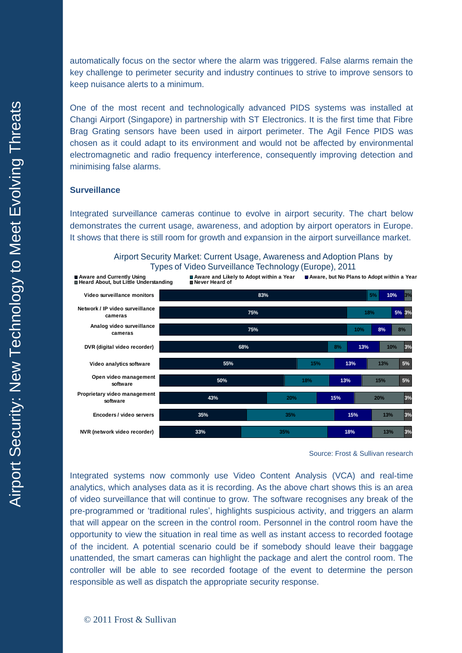automatically focus on the sector where the alarm was triggered. False alarms remain the key challenge to perimeter security and industry continues to strive to improve sensors to keep nuisance alerts to a minimum.

One of the most recent and technologically advanced PIDS systems was installed at Changi Airport (Singapore) in partnership with ST Electronics. It is the first time that Fibre Brag Grating sensors have been used in airport perimeter. The Agil Fence PIDS was chosen as it could adapt to its environment and would not be affected by environmental electromagnetic and radio frequency interference, consequently improving detection and minimising false alarms.

# **Surveillance**

Integrated surveillance cameras continue to evolve in airport security. The chart below demonstrates the current usage, awareness, and adoption by airport operators in Europe. It shows that there is still room for growth and expansion in the airport surveillance market.

Airport Security Market: Current Usage, Awareness and Adoption Plans by  $T_{\text{m}}$   $\sim$ **Base: Total Sample, N=40** Types of Video Surveillance Technology (Europe), 2011



Source: Frost & Sullivan research

Integrated systems now commonly use Video Content Analysis (VCA) and real-time analytics, which analyses data as it is recording. As the above chart shows this is an area of video surveillance that will continue to grow. The software recognises any break of the pre-programmed or 'traditional rules', highlights suspicious activity, and triggers an alarm that will appear on the screen in the control room. Personnel in the control room have the opportunity to view the situation in real time as well as instant access to recorded footage of the incident. A potential scenario could be if somebody should leave their baggage unattended, the smart cameras can highlight the package and alert the control room. The controller will be able to see recorded footage of the event to determine the person responsible as well as dispatch the appropriate security response.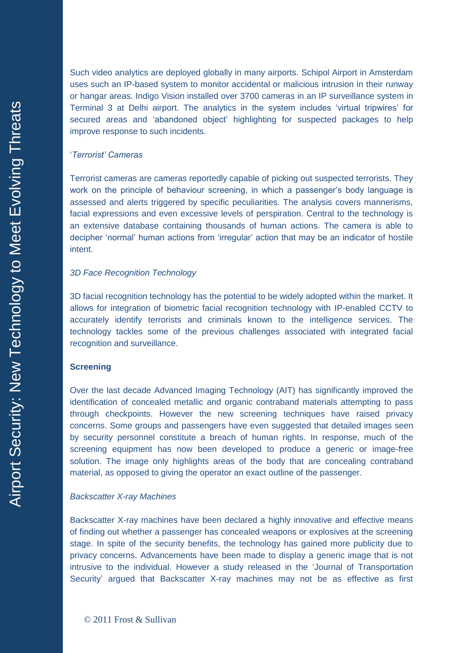Such video analytics are deployed globally in many airports. Schipol Airport in Amsterdam uses such an IP-based system to monitor accidental or malicious intrusion in their runway or hangar areas. Indigo Vision installed over 3700 cameras in an IP surveillance system in Terminal 3 at Delhi airport. The analytics in the system includes 'virtual tripwires' for secured areas and 'abandoned object' highlighting for suspected packages to help improve response to such incidents.

# '*Terrorist' Cameras*

Terrorist cameras are cameras reportedly capable of picking out suspected terrorists. They work on the principle of behaviour screening, in which a passenger's body language is assessed and alerts triggered by specific peculiarities. The analysis covers mannerisms, facial expressions and even excessive levels of perspiration. Central to the technology is an extensive database containing thousands of human actions. The camera is able to decipher 'normal' human actions from 'irregular' action that may be an indicator of hostile intent.

# *3D Face Recognition Technology*

3D facial recognition technology has the potential to be widely adopted within the market. It allows for integration of biometric facial recognition technology with IP-enabled CCTV to accurately identify terrorists and criminals known to the intelligence services. The technology tackles some of the previous challenges associated with integrated facial recognition and surveillance.

# **Screening**

Over the last decade Advanced Imaging Technology (AIT) has significantly improved the identification of concealed metallic and organic contraband materials attempting to pass through checkpoints. However the new screening techniques have raised privacy concerns. Some groups and passengers have even suggested that detailed images seen by security personnel constitute a breach of human rights. In response, much of the screening equipment has now been developed to produce a generic or image-free solution. The image only highlights areas of the body that are concealing contraband material, as opposed to giving the operator an exact outline of the passenger.

### *Backscatter X-ray Machines*

Backscatter X-ray machines have been declared a highly innovative and effective means of finding out whether a passenger has concealed weapons or explosives at the screening stage. In spite of the security benefits, the technology has gained more publicity due to privacy concerns. Advancements have been made to display a generic image that is not intrusive to the individual. However a study released in the 'Journal of Transportation Security' argued that Backscatter X-ray machines may not be as effective as first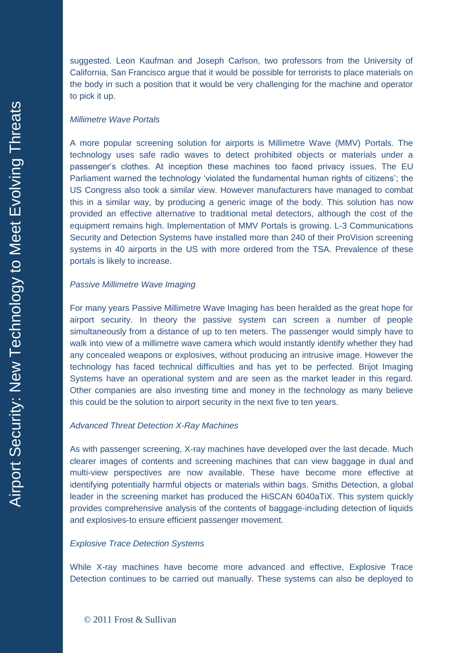suggested. Leon Kaufman and Joseph Carlson, two professors from the University of California, San Francisco argue that it would be possible for terrorists to place materials on the body in such a position that it would be very challenging for the machine and operator to pick it up.

## *Millimetre Wave Portals*

A more popular screening solution for airports is Millimetre Wave (MMV) Portals. The technology uses safe radio waves to detect prohibited objects or materials under a passenger's clothes. At inception these machines too faced privacy issues. The EU Parliament warned the technology 'violated the fundamental human rights of citizens'; the US Congress also took a similar view. However manufacturers have managed to combat this in a similar way, by producing a generic image of the body. This solution has now provided an effective alternative to traditional metal detectors, although the cost of the equipment remains high. Implementation of MMV Portals is growing. L-3 Communications Security and Detection Systems have installed more than 240 of their ProVision screening systems in 40 airports in the US with more ordered from the TSA. Prevalence of these portals is likely to increase.

#### *Passive Millimetre Wave Imaging*

For many years Passive Millimetre Wave Imaging has been heralded as the great hope for airport security. In theory the passive system can screen a number of people simultaneously from a distance of up to ten meters. The passenger would simply have to walk into view of a millimetre wave camera which would instantly identify whether they had any concealed weapons or explosives, without producing an intrusive image. However the technology has faced technical difficulties and has yet to be perfected. Brijot Imaging Systems have an operational system and are seen as the market leader in this regard. Other companies are also investing time and money in the technology as many believe this could be the solution to airport security in the next five to ten years.

#### *Advanced Threat Detection X-Ray Machines*

As with passenger screening, X-ray machines have developed over the last decade. Much clearer images of contents and screening machines that can view baggage in dual and multi-view perspectives are now available. These have become more effective at identifying potentially harmful objects or materials within bags. Smiths Detection, a global leader in the screening market has produced the HiSCAN 6040aTiX. This system quickly provides comprehensive analysis of the contents of baggage-including detection of liquids and explosives-to ensure efficient passenger movement.

#### *Explosive Trace Detection Systems*

While X-ray machines have become more advanced and effective, Explosive Trace Detection continues to be carried out manually. These systems can also be deployed to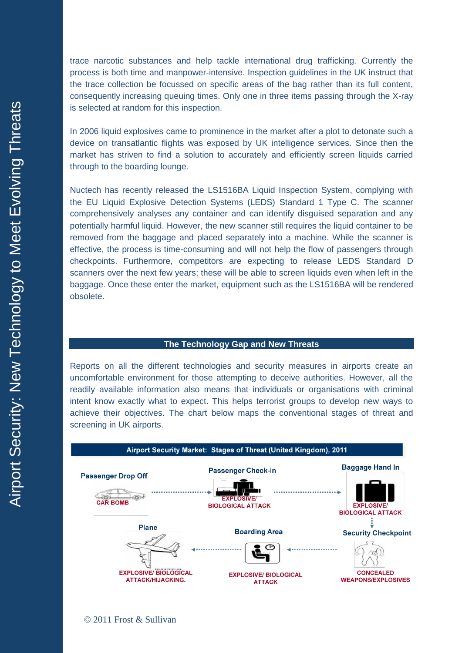trace narcotic substances and help tackle international drug trafficking. Currently the process is both time and manpower-intensive. Inspection guidelines in the UK instruct that the trace collection be focussed on specific areas of the bag rather than its full content, consequently increasing queuing times. Only one in three items passing through the X-ray is selected at random for this inspection.

In 2006 liquid explosives came to prominence in the market after a plot to detonate such a device on transatlantic flights was exposed by UK intelligence services. Since then the market has striven to find a solution to accurately and efficiently screen liquids carried through to the boarding lounge.

Nuctech has recently released the LS1516BA Liquid Inspection System, complying with the EU Liquid Explosive Detection Systems (LEDS) Standard 1 Type C. The scanner comprehensively analyses any container and can identify disguised separation and any potentially harmful liquid. However, the new scanner still requires the liquid container to be removed from the baggage and placed separately into a machine. While the scanner is effective, the process is time-consuming and will not help the flow of passengers through checkpoints. Furthermore, competitors are expecting to release LEDS Standard D scanners over the next few years; these will be able to screen liquids even when left in the baggage. Once these enter the market, equipment such as the LS1516BA will be rendered obsolete.

#### **The Technology Gap and New Threats**

Reports on all the different technologies and security measures in airports create an uncomfortable environment for those attempting to deceive authorities. However, all the readily available information also means that individuals or organisations with criminal intent know exactly what to expect. This helps terrorist groups to develop new ways to achieve their objectives. The chart below maps the conventional stages of threat and screening in UK airports.